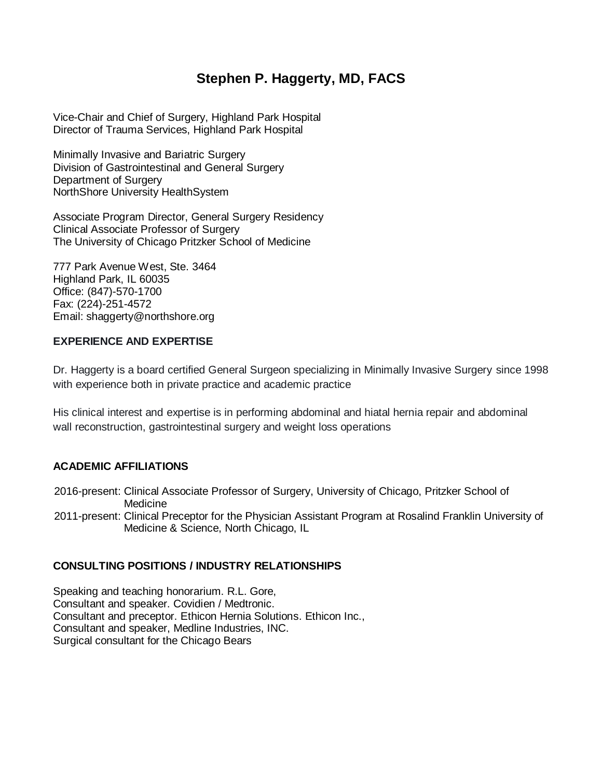# **Stephen P. Haggerty, MD, FACS**

Vice-Chair and Chief of Surgery, Highland Park Hospital Director of Trauma Services, Highland Park Hospital

Minimally Invasive and Bariatric Surgery Division of Gastrointestinal and General Surgery Department of Surgery NorthShore University HealthSystem

Associate Program Director, General Surgery Residency Clinical Associate Professor of Surgery The University of Chicago Pritzker School of Medicine

777 Park Avenue West, Ste. 3464 Highland Park, IL 60035 Office: (847)-570-1700 Fax: (224)-251-4572 Email: shaggerty@northshore.org

# **EXPERIENCE AND EXPERTISE**

Dr. Haggerty is a board certified General Surgeon specializing in Minimally Invasive Surgery since 1998 with experience both in private practice and academic practice

His clinical interest and expertise is in performing abdominal and hiatal hernia repair and abdominal wall reconstruction, gastrointestinal surgery and weight loss operations

# **ACADEMIC AFFILIATIONS**

2016-present: Clinical Associate Professor of Surgery, University of Chicago, Pritzker School of **Medicine** 

2011-present: Clinical Preceptor for the Physician Assistant Program at Rosalind Franklin University of Medicine & Science, North Chicago, IL

#### **CONSULTING POSITIONS / INDUSTRY RELATIONSHIPS**

Speaking and teaching honorarium. R.L. Gore, Consultant and speaker. Covidien / Medtronic. Consultant and preceptor. Ethicon Hernia Solutions. Ethicon Inc., Consultant and speaker, Medline Industries, INC. Surgical consultant for the Chicago Bears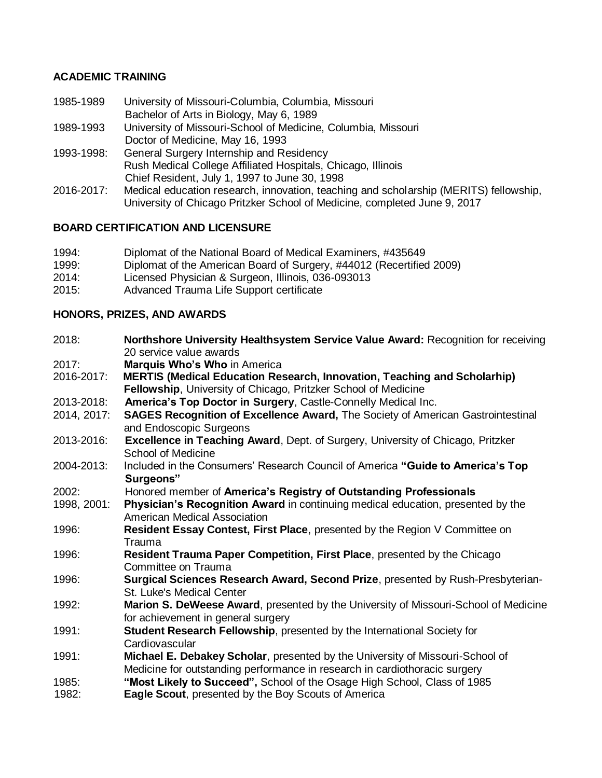## **ACADEMIC TRAINING**

- 1985-1989 University of Missouri-Columbia, Columbia, Missouri Bachelor of Arts in Biology, May 6, 1989
- 1989-1993 University of Missouri-School of Medicine, Columbia, Missouri Doctor of Medicine, May 16, 1993
- 1993-1998: General Surgery Internship and Residency Rush Medical College Affiliated Hospitals, Chicago, Illinois Chief Resident, July 1, 1997 to June 30, 1998
- 2016-2017: Medical education research, innovation, teaching and scholarship (MERITS) fellowship, University of Chicago Pritzker School of Medicine, completed June 9, 2017

## **BOARD CERTIFICATION AND LICENSURE**

- 1994: Diplomat of the National Board of Medical Examiners, #435649
- 1999: Diplomat of the American Board of Surgery, #44012 (Recertified 2009)
- 2014: Licensed Physician & Surgeon, Illinois, 036-093013
- 2015: Advanced Trauma Life Support certificate

#### **HONORS, PRIZES, AND AWARDS**

2018: **Northshore University Healthsystem Service Value Award:** Recognition for receiving 20 service value awards 2017: **Marquis Who's Who** in America 2016-2017: **MERTIS (Medical Education Research, Innovation, Teaching and Scholarhip) Fellowship**, University of Chicago, Pritzker School of Medicine 2013-2018: **America's Top Doctor in Surgery**, Castle-Connelly Medical Inc. 2014, 2017: **SAGES Recognition of Excellence Award,** The Society of American Gastrointestinal and Endoscopic Surgeons 2013-2016: **Excellence in Teaching Award**, Dept. of Surgery, University of Chicago, Pritzker School of Medicine 2004-2013: Included in the Consumers' Research Council of America **"Guide to America's Top Surgeons"**  2002: Honored member of **America's Registry of Outstanding Professionals** 1998, 2001: **Physician's Recognition Award** in continuing medical education, presented by the American Medical Association 1996: **Resident Essay Contest, First Place**, presented by the Region V Committee on Trauma 1996: **Resident Trauma Paper Competition, First Place**, presented by the Chicago Committee on Trauma 1996: **Surgical Sciences Research Award, Second Prize**, presented by Rush-Presbyterian-St. Luke's Medical Center 1992: **Marion S. DeWeese Award**, presented by the University of Missouri-School of Medicine for achievement in general surgery 1991: **Student Research Fellowship**, presented by the International Society for **Cardiovascular** 1991: **Michael E. Debakey Scholar**, presented by the University of Missouri-School of Medicine for outstanding performance in research in cardiothoracic surgery 1985: **"Most Likely to Succeed",** School of the Osage High School, Class of 1985 1982: **Eagle Scout**, presented by the Boy Scouts of America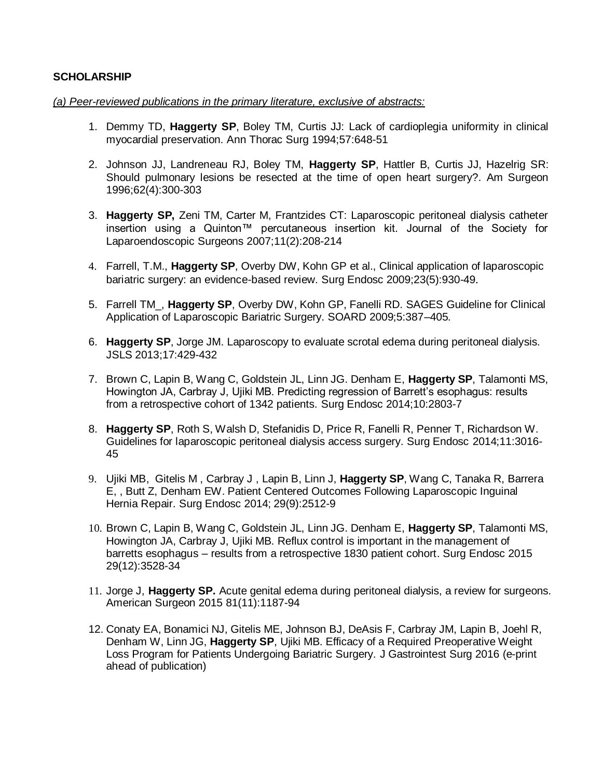#### **SCHOLARSHIP**

#### *(a) Peer-reviewed publications in the primary literature, exclusive of abstracts:*

- 1. Demmy TD, **Haggerty SP**, Boley TM, Curtis JJ: Lack of cardioplegia uniformity in clinical myocardial preservation. Ann Thorac Surg 1994;57:648-51
- 2. Johnson JJ, Landreneau RJ, Boley TM, **Haggerty SP**, Hattler B, Curtis JJ, Hazelrig SR: Should pulmonary lesions be resected at the time of open heart surgery?. Am Surgeon 1996;62(4):300-303
- 3. **Haggerty SP,** Zeni TM, Carter M, Frantzides CT: Laparoscopic peritoneal dialysis catheter insertion using a Quinton™ percutaneous insertion kit. Journal of the Society for Laparoendoscopic Surgeons 2007;11(2):208-214
- 4. Farrell, T.M., **Haggerty SP**, Overby DW, Kohn GP et al., Clinical application of laparoscopic bariatric surgery: an evidence-based review*.* Surg Endosc 2009;23(5):930-49.
- 5. Farrell TM\_, **Haggerty SP**, Overby DW, Kohn GP, Fanelli RD. SAGES Guideline for Clinical Application of Laparoscopic Bariatric Surgery. SOARD 2009;5:387–405.
- 6. **Haggerty SP**, Jorge JM. Laparoscopy to evaluate scrotal edema during peritoneal dialysis. JSLS 2013;17:429-432
- 7. Brown C, Lapin B, Wang C, Goldstein JL, Linn JG. Denham E, **Haggerty SP**, Talamonti MS, Howington JA, Carbray J, Ujiki MB. Predicting regression of Barrett's esophagus: results from a retrospective cohort of 1342 patients. Surg Endosc 2014;10:2803-7
- 8. **Haggerty SP**, Roth S, Walsh D, Stefanidis D, Price R, Fanelli R, Penner T, Richardson W. Guidelines for laparoscopic peritoneal dialysis access surgery. Surg Endosc 2014;11:3016- 45
- 9. Ujiki MB, Gitelis M , Carbray J , Lapin B, Linn J, **Haggerty SP**, Wang C, Tanaka R, Barrera E, , Butt Z, Denham EW. Patient Centered Outcomes Following Laparoscopic Inguinal Hernia Repair. Surg Endosc 2014; 29(9):2512-9
- 10. Brown C, Lapin B, Wang C, Goldstein JL, Linn JG. Denham E, **Haggerty SP**, Talamonti MS, Howington JA, Carbray J, Ujiki MB. Reflux control is important in the management of barretts esophagus – results from a retrospective 1830 patient cohort. Surg Endosc 2015 29(12):3528-34
- 11. Jorge J, **Haggerty SP.** Acute genital edema during peritoneal dialysis, a review for surgeons. American Surgeon 2015 81(11):1187-94
- 12. Conaty EA, Bonamici NJ, Gitelis ME, Johnson BJ, DeAsis F, Carbray JM, Lapin B, Joehl R, Denham W, Linn JG, **Haggerty SP**, Ujiki MB. [Efficacy of a Required Preoperative Weight](file://vfs09/pubmed/26864165)  [Loss Program for Patients Undergoing Bariatric Surgery.](file://vfs09/pubmed/26864165) J Gastrointest Surg 2016 (e-print ahead of publication)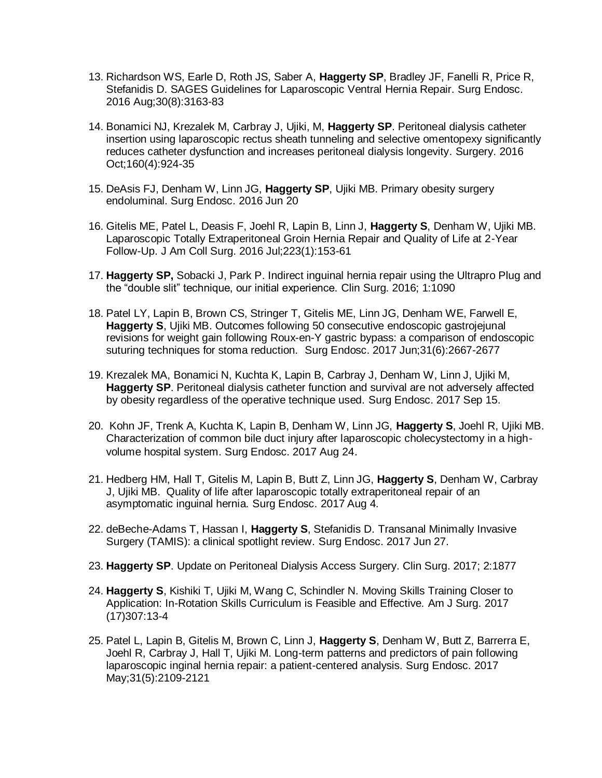- 13. Richardson WS, Earle D, Roth JS, Saber A, **Haggerty SP**, Bradley JF, Fanelli R, Price R, Stefanidis D. SAGES Guidelines for Laparoscopic Ventral Hernia Repair. Surg Endosc. 2016 Aug;30(8):3163-83
- 14. Bonamici NJ, Krezalek M, Carbray J, Ujiki, M, **Haggerty SP**. Peritoneal dialysis catheter insertion using laparoscopic rectus sheath tunneling and selective omentopexy significantly reduces catheter dysfunction and increases peritoneal dialysis longevity. Surgery. 2016 Oct;160(4):924-35
- 15. DeAsis FJ, Denham W, Linn JG, **Haggerty SP**, Ujiki MB. [Primary obesity surgery](https://www.ncbi.nlm.nih.gov/pubmed/27324329)  [endoluminal.](https://www.ncbi.nlm.nih.gov/pubmed/27324329) Surg Endosc. 2016 Jun 20
- 16. Gitelis ME, Patel L, Deasis F, Joehl R, Lapin B, Linn J, **Haggerty S**, Denham W, Ujiki MB. [Laparoscopic Totally Extraperitoneal Groin Hernia Repair and Quality of Life at 2-Year](https://www.ncbi.nlm.nih.gov/pubmed/27086088)  [Follow-Up.](https://www.ncbi.nlm.nih.gov/pubmed/27086088) J Am Coll Surg. 2016 Jul;223(1):153-61
- 17. **Haggerty SP,** Sobacki J, Park P. Indirect inguinal hernia repair using the Ultrapro Plug and the "double slit" technique, our initial experience. Clin Surg. 2016; 1:1090
- 18. Patel LY, Lapin B, Brown CS, Stringer T, Gitelis ME, Linn JG, Denham WE, Farwell E, **Haggerty S**, Ujiki MB. [Outcomes following 50 consecutive endoscopic gastrojejunal](https://www.ncbi.nlm.nih.gov/pubmed/27752820)  [revisions for weight gain following Roux-en-Y gastric bypass: a comparison of endoscopic](https://www.ncbi.nlm.nih.gov/pubmed/27752820)  [suturing techniques for stoma reduction.](https://www.ncbi.nlm.nih.gov/pubmed/27752820) Surg Endosc. 2017 Jun;31(6):2667-2677
- 19. Krezalek MA, Bonamici N, Kuchta K, Lapin B, Carbray J, Denham W, Linn J, Ujiki M, **Haggerty SP**. [Peritoneal dialysis catheter function and survival are not adversely affected](https://www.ncbi.nlm.nih.gov/pubmed/28917008)  [by obesity regardless of the operative technique used.](https://www.ncbi.nlm.nih.gov/pubmed/28917008) Surg Endosc. 2017 Sep 15.
- 20. Kohn JF, Trenk A, Kuchta K, Lapin B, Denham W, Linn JG, **Haggerty S**, Joehl R, Ujiki MB. [Characterization of common bile duct injury after laparoscopic cholecystectomy in a high](https://www.ncbi.nlm.nih.gov/pubmed/28840410)[volume hospital system.](https://www.ncbi.nlm.nih.gov/pubmed/28840410) Surg Endosc. 2017 Aug 24.
- 21. Hedberg HM, Hall T, Gitelis M, Lapin B, Butt Z, Linn JG, **Haggerty S**, Denham W, Carbray J, Ujiki MB. [Quality of life after laparoscopic totally extraperitoneal repair of an](https://www.ncbi.nlm.nih.gov/pubmed/28779250)  [asymptomatic inguinal hernia.](https://www.ncbi.nlm.nih.gov/pubmed/28779250) Surg Endosc. 2017 Aug 4.
- 22. deBeche-Adams T, Hassan I, **Haggerty S**, Stefanidis D. [Transanal Minimally Invasive](https://www.ncbi.nlm.nih.gov/pubmed/28656337)  [Surgery \(TAMIS\): a clinical spotlight review.](https://www.ncbi.nlm.nih.gov/pubmed/28656337) Surg Endosc. 2017 Jun 27.
- 23. **Haggerty SP**. Update on Peritoneal Dialysis Access Surgery. Clin Surg. 2017; 2:1877
- 24. **Haggerty S**, Kishiki T, Ujiki M, Wang C, Schindler N. Moving Skills Training Closer to Application: In-Rotation Skills Curriculum is Feasible and Effective. Am J Surg. 2017 (17)307:13-4
- 25. Patel L, Lapin B, Gitelis M, Brown C, Linn J, **Haggerty S**, Denham W, Butt Z, Barrerra E, Joehl R, Carbray J, Hall T, Ujiki M. Long-term patterns and predictors of pain following laparoscopic inginal hernia repair: a patient-centered analysis. Surg Endosc. 2017 May;31(5):2109-2121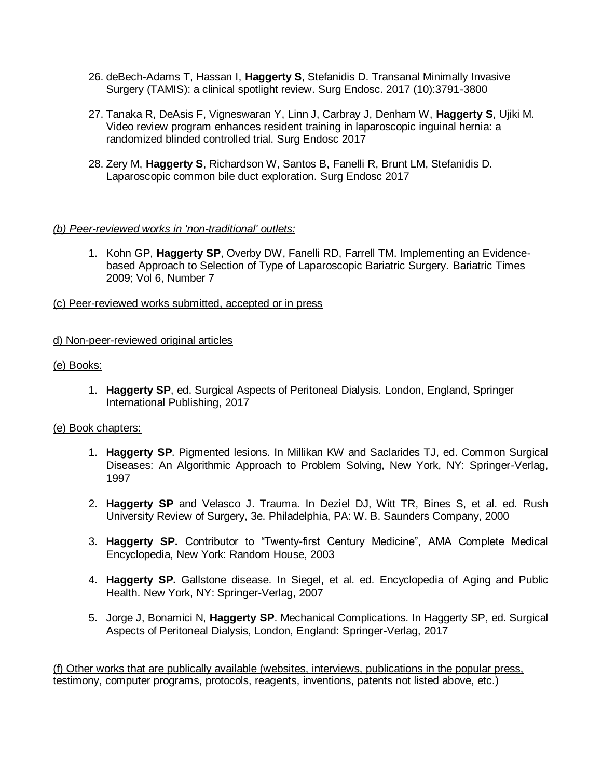- 26. deBech-Adams T, Hassan I, **Haggerty S**, Stefanidis D. Transanal Minimally Invasive Surgery (TAMIS): a clinical spotlight review. Surg Endosc. 2017 (10):3791-3800
- 27. Tanaka R, DeAsis F, Vigneswaran Y, Linn J, Carbray J, Denham W, **Haggerty S**, Ujiki M. Video review program enhances resident training in laparoscopic inguinal hernia: a randomized blinded controlled trial. Surg Endosc 2017
- 28. Zery M, **Haggerty S**, Richardson W, Santos B, Fanelli R, Brunt LM, Stefanidis D. Laparoscopic common bile duct exploration. Surg Endosc 2017

#### *(b) Peer-reviewed works in 'non-traditional' outlets:*

- 1. Kohn GP, **Haggerty SP**, Overby DW, Fanelli RD, Farrell TM. Implementing an Evidencebased Approach to Selection of Type of Laparoscopic Bariatric Surgery. Bariatric Times 2009; Vol 6, Number 7
- (c) Peer-reviewed works submitted, accepted or in press

## d) Non-peer-reviewed original articles

#### (e) Books:

1. **Haggerty SP**, ed. Surgical Aspects of Peritoneal Dialysis. London, England, Springer International Publishing, 2017

#### (e) Book chapters:

- 1. **Haggerty SP**. Pigmented lesions. In Millikan KW and Saclarides TJ, ed. Common Surgical Diseases: An Algorithmic Approach to Problem Solving, New York, NY: Springer-Verlag, 1997
- 2. **Haggerty SP** and Velasco J. Trauma. In Deziel DJ, Witt TR, Bines S, et al. ed. Rush University Review of Surgery, 3e. Philadelphia, PA: W. B. Saunders Company, 2000
- 3. **Haggerty SP.** Contributor to "Twenty-first Century Medicine", AMA Complete Medical Encyclopedia, New York: Random House, 2003
- 4. **Haggerty SP.** Gallstone disease. In Siegel, et al. ed. Encyclopedia of Aging and Public Health. New York, NY: Springer-Verlag, 2007
- 5. Jorge J, Bonamici N, **Haggerty SP**. Mechanical Complications. In Haggerty SP, ed. Surgical Aspects of Peritoneal Dialysis, London, England: Springer-Verlag, 2017

(f) Other works that are publically available (websites, interviews, publications in the popular press, testimony, computer programs, protocols, reagents, inventions, patents not listed above, etc.)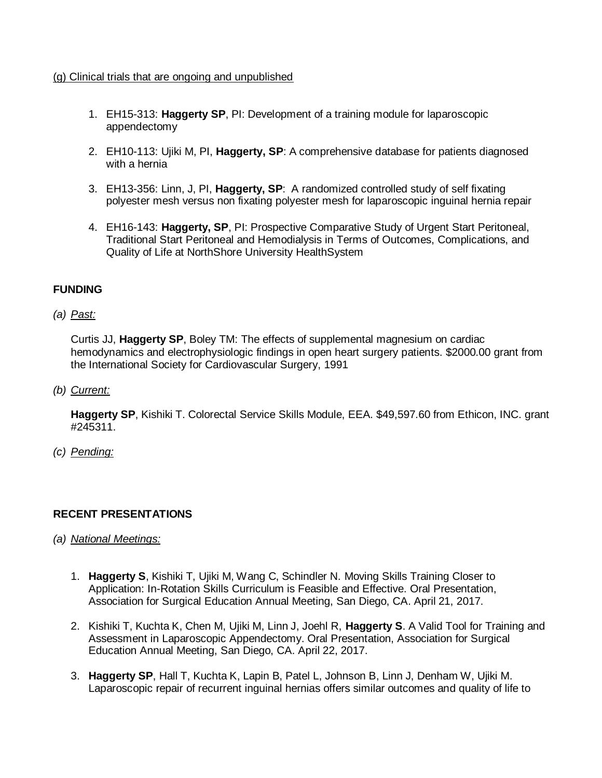#### (g) Clinical trials that are ongoing and unpublished

- 1. EH15-313: **Haggerty SP**, PI: Development of a training module for laparoscopic appendectomy
- 2. EH10-113: Ujiki M, PI, **Haggerty, SP**: A comprehensive database for patients diagnosed with a hernia
- 3. EH13-356: Linn, J, PI, **Haggerty, SP**: A randomized controlled study of self fixating polyester mesh versus non fixating polyester mesh for laparoscopic inguinal hernia repair
- 4. EH16-143: **Haggerty, SP**, PI: Prospective Comparative Study of Urgent Start Peritoneal, Traditional Start Peritoneal and Hemodialysis in Terms of Outcomes, Complications, and Quality of Life at NorthShore University HealthSystem

## **FUNDING**

*(a) Past:*

Curtis JJ, **Haggerty SP**, Boley TM: The effects of supplemental magnesium on cardiac hemodynamics and electrophysiologic findings in open heart surgery patients. \$2000.00 grant from the International Society for Cardiovascular Surgery, 1991

*(b) Current:*

**Haggerty SP**, Kishiki T. Colorectal Service Skills Module, EEA. \$49,597.60 from Ethicon, INC. grant #245311.

*(c) Pending:*

#### **RECENT PRESENTATIONS**

- *(a) National Meetings:*
	- 1. **Haggerty S**, Kishiki T, Ujiki M, Wang C, Schindler N. Moving Skills Training Closer to Application: In-Rotation Skills Curriculum is Feasible and Effective. Oral Presentation, Association for Surgical Education Annual Meeting, San Diego, CA. April 21, 2017.
	- 2. Kishiki T, Kuchta K, Chen M, Ujiki M, Linn J, Joehl R, **Haggerty S**. A Valid Tool for Training and Assessment in Laparoscopic Appendectomy. Oral Presentation, Association for Surgical Education Annual Meeting, San Diego, CA. April 22, 2017.
	- 3. **Haggerty SP**, Hall T, Kuchta K, Lapin B, Patel L, Johnson B, Linn J, Denham W, Ujiki M. Laparoscopic repair of recurrent inguinal hernias offers similar outcomes and quality of life to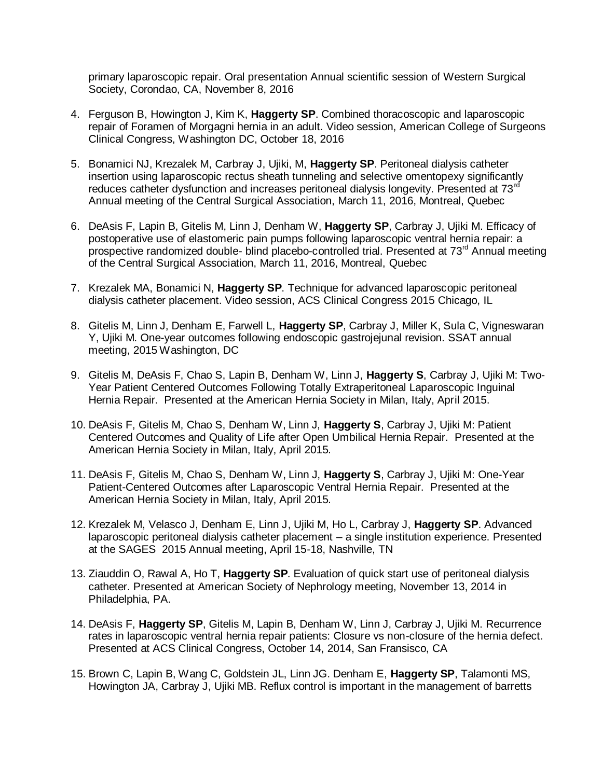primary laparoscopic repair. Oral presentation Annual scientific session of Western Surgical Society, Corondao, CA, November 8, 2016

- 4. Ferguson B, Howington J, Kim K, **Haggerty SP**. Combined thoracoscopic and laparoscopic repair of Foramen of Morgagni hernia in an adult. Video session, American College of Surgeons Clinical Congress, Washington DC, October 18, 2016
- 5. Bonamici NJ, Krezalek M, Carbray J, Ujiki, M, **Haggerty SP**. Peritoneal dialysis catheter insertion using laparoscopic rectus sheath tunneling and selective omentopexy significantly reduces catheter dysfunction and increases peritoneal dialysis longevity. Presented at  $73<sup>rd</sup>$ Annual meeting of the Central Surgical Association, March 11, 2016, Montreal, Quebec
- 6. DeAsis F, Lapin B, Gitelis M, Linn J, Denham W, **Haggerty SP**, Carbray J, Ujiki M. Efficacy of postoperative use of elastomeric pain pumps following laparoscopic ventral hernia repair: a prospective randomized double- blind placebo-controlled trial. Presented at  $73<sup>rd</sup>$  Annual meeting of the Central Surgical Association, March 11, 2016, Montreal, Quebec
- 7. Krezalek MA, Bonamici N, **Haggerty SP**. Technique for advanced laparoscopic peritoneal dialysis catheter placement. Video session, ACS Clinical Congress 2015 Chicago, IL
- 8. Gitelis M, Linn J, Denham E, Farwell L, **Haggerty SP**, Carbray J, Miller K, Sula C, Vigneswaran Y, Ujiki M. One-year outcomes following endoscopic gastrojejunal revision. SSAT annual meeting, 2015 Washington, DC
- 9. Gitelis M, DeAsis F, Chao S, Lapin B, Denham W, Linn J, **Haggerty S**, Carbray J, Ujiki M: Two-Year Patient Centered Outcomes Following Totally Extraperitoneal Laparoscopic Inguinal Hernia Repair. Presented at the American Hernia Society in Milan, Italy, April 2015.
- 10. DeAsis F, Gitelis M, Chao S, Denham W, Linn J, **Haggerty S**, Carbray J, Ujiki M: Patient Centered Outcomes and Quality of Life after Open Umbilical Hernia Repair. Presented at the American Hernia Society in Milan, Italy, April 2015.
- 11. DeAsis F, Gitelis M, Chao S, Denham W, Linn J, **Haggerty S**, Carbray J, Ujiki M: One-Year Patient-Centered Outcomes after Laparoscopic Ventral Hernia Repair. Presented at the American Hernia Society in Milan, Italy, April 2015.
- 12. Krezalek M, Velasco J, Denham E, Linn J, Ujiki M, Ho L, Carbray J, **Haggerty SP**. Advanced laparoscopic peritoneal dialysis catheter placement – a single institution experience. Presented at the SAGES 2015 Annual meeting, April 15-18, Nashville, TN
- 13. Ziauddin O, Rawal A, Ho T, **Haggerty SP**. Evaluation of quick start use of peritoneal dialysis catheter. Presented at American Society of Nephrology meeting, November 13, 2014 in Philadelphia, PA.
- 14. DeAsis F, **Haggerty SP**, Gitelis M, Lapin B, Denham W, Linn J, Carbray J, Ujiki M. Recurrence rates in laparoscopic ventral hernia repair patients: Closure vs non-closure of the hernia defect. Presented at ACS Clinical Congress, October 14, 2014, San Fransisco, CA
- 15. Brown C, Lapin B, Wang C, Goldstein JL, Linn JG. Denham E, **Haggerty SP**, Talamonti MS, Howington JA, Carbray J, Ujiki MB. Reflux control is important in the management of barretts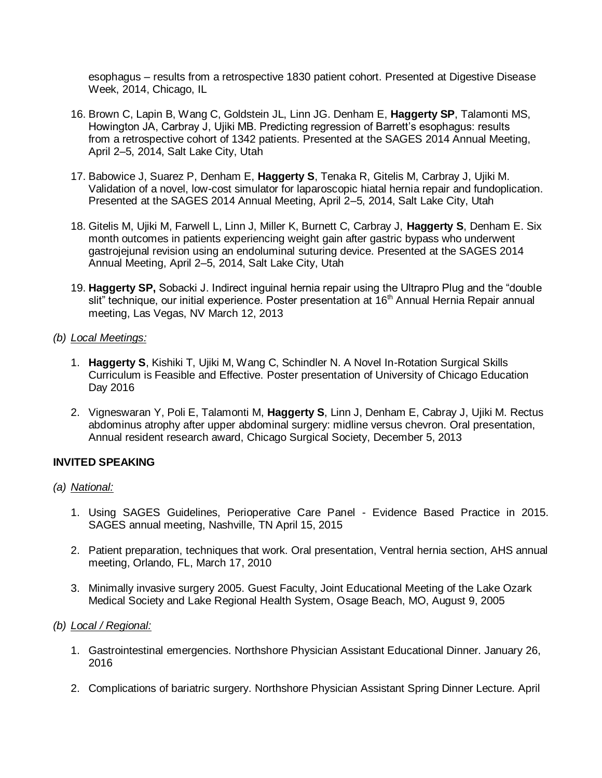esophagus – results from a retrospective 1830 patient cohort. Presented at Digestive Disease Week, 2014, Chicago, IL

- 16. Brown C, Lapin B, Wang C, Goldstein JL, Linn JG. Denham E, **Haggerty SP**, Talamonti MS, Howington JA, Carbray J, Ujiki MB. Predicting regression of Barrett's esophagus: results from a retrospective cohort of 1342 patients. Presented at the SAGES 2014 Annual Meeting, April 2–5, 2014, Salt Lake City, Utah
- 17. Babowice J, Suarez P, Denham E, **Haggerty S**, Tenaka R, Gitelis M, Carbray J, Ujiki M. Validation of a novel, low-cost simulator for laparoscopic hiatal hernia repair and fundoplication. Presented at the SAGES 2014 Annual Meeting, April 2–5, 2014, Salt Lake City, Utah
- 18. Gitelis M, Ujiki M, Farwell L, Linn J, Miller K, Burnett C, Carbray J, **Haggerty S**, Denham E. Six month outcomes in patients experiencing weight gain after gastric bypass who underwent gastrojejunal revision using an endoluminal suturing device. Presented at the SAGES 2014 Annual Meeting, April 2–5, 2014, Salt Lake City, Utah
- 19. **Haggerty SP,** Sobacki J. Indirect inguinal hernia repair using the Ultrapro Plug and the "double slit" technique, our initial experience. Poster presentation at 16<sup>th</sup> Annual Hernia Repair annual meeting, Las Vegas, NV March 12, 2013

#### *(b) Local Meetings:*

- 1. **Haggerty S**, Kishiki T, Ujiki M, Wang C, Schindler N. A Novel In-Rotation Surgical Skills Curriculum is Feasible and Effective. Poster presentation of University of Chicago Education Day 2016
- 2. Vigneswaran Y, Poli E, Talamonti M, **Haggerty S**, Linn J, Denham E, Cabray J, Ujiki M. Rectus abdominus atrophy after upper abdominal surgery: midline versus chevron. Oral presentation, Annual resident research award, Chicago Surgical Society, December 5, 2013

#### **INVITED SPEAKING**

#### *(a) National:*

- 1. Using SAGES Guidelines, Perioperative Care Panel Evidence Based Practice in 2015. SAGES annual meeting, Nashville, TN April 15, 2015
- 2. Patient preparation, techniques that work. Oral presentation, Ventral hernia section, AHS annual meeting, Orlando, FL, March 17, 2010
- 3. Minimally invasive surgery 2005. Guest Faculty, Joint Educational Meeting of the Lake Ozark Medical Society and Lake Regional Health System, Osage Beach, MO, August 9, 2005

#### *(b) Local / Regional:*

- 1. Gastrointestinal emergencies. Northshore Physician Assistant Educational Dinner. January 26, 2016
- 2. Complications of bariatric surgery. Northshore Physician Assistant Spring Dinner Lecture. April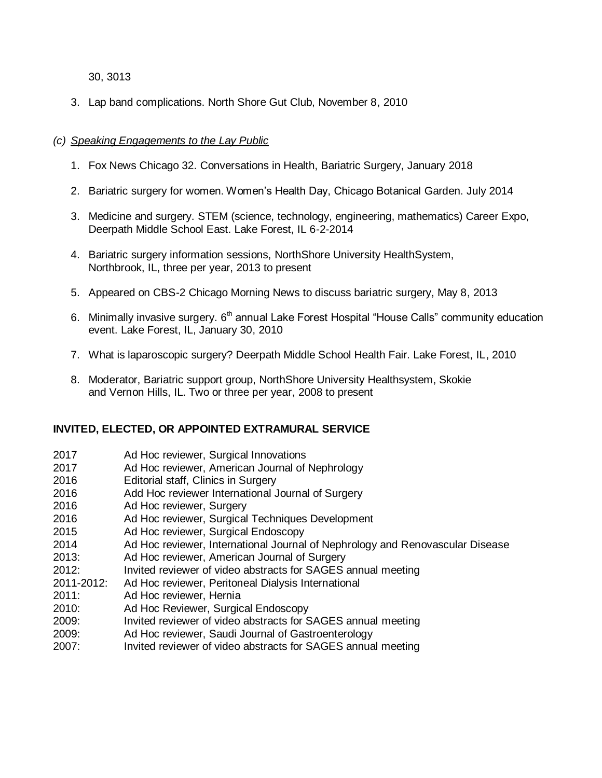#### 30, 3013

3. Lap band complications. North Shore Gut Club, November 8, 2010

## *(c) Speaking Engagements to the Lay Public*

- 1. Fox News Chicago 32. Conversations in Health, Bariatric Surgery, January 2018
- 2. Bariatric surgery for women. Women's Health Day, Chicago Botanical Garden. July 2014
- 3. Medicine and surgery. STEM (science, technology, engineering, mathematics) Career Expo, Deerpath Middle School East. Lake Forest, IL 6-2-2014
- 4. Bariatric surgery information sessions, NorthShore University HealthSystem, Northbrook, IL, three per year, 2013 to present
- 5. Appeared on CBS-2 Chicago Morning News to discuss bariatric surgery, May 8, 2013
- 6. Minimally invasive surgery.  $6<sup>th</sup>$  annual Lake Forest Hospital "House Calls" community education event. Lake Forest, IL, January 30, 2010
- 7. What is laparoscopic surgery? Deerpath Middle School Health Fair. Lake Forest, IL, 2010
- 8. Moderator, Bariatric support group, NorthShore University Healthsystem, Skokie and Vernon Hills, IL. Two or three per year, 2008 to present

#### **INVITED, ELECTED, OR APPOINTED EXTRAMURAL SERVICE**

- 2017 Ad Hoc reviewer, Surgical Innovations
- 2017 Ad Hoc reviewer, American Journal of Nephrology
- 2016 Editorial staff, Clinics in Surgery
- 2016 Add Hoc reviewer International Journal of Surgery
- 2016 Ad Hoc reviewer, Surgery
- 2016 Ad Hoc reviewer, Surgical Techniques Development
- 2015 Ad Hoc reviewer, Surgical Endoscopy
- 2014 Ad Hoc reviewer, International Journal of Nephrology and Renovascular Disease
- 2013: Ad Hoc reviewer, American Journal of Surgery
- 2012: Invited reviewer of video abstracts for SAGES annual meeting
- 2011-2012: Ad Hoc reviewer, Peritoneal Dialysis International
- 2011: Ad Hoc reviewer, Hernia
- 2010: Ad Hoc Reviewer, Surgical Endoscopy
- 2009: Invited reviewer of video abstracts for SAGES annual meeting
- 2009: Ad Hoc reviewer, Saudi Journal of Gastroenterology
- 2007: Invited reviewer of video abstracts for SAGES annual meeting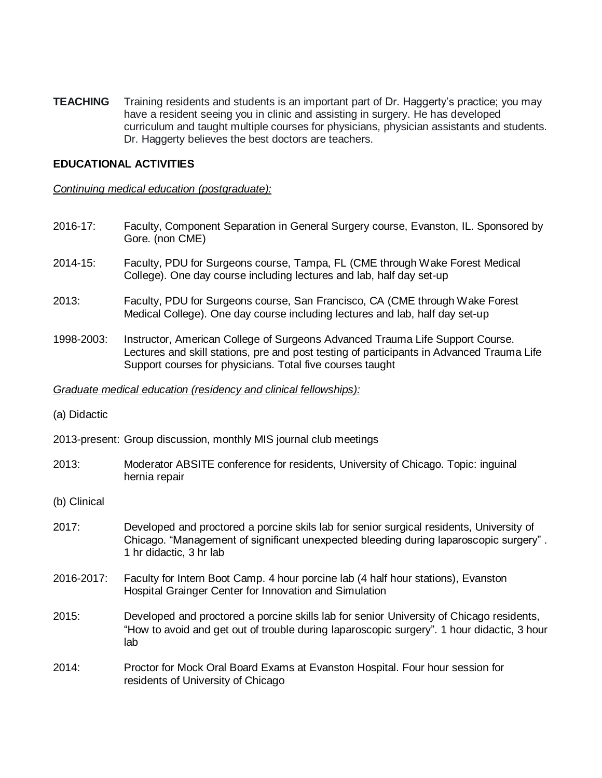**TEACHING** Training residents and students is an important part of Dr. Haggerty's practice; you may have a resident seeing you in clinic and assisting in surgery. He has developed curriculum and taught multiple courses for physicians, physician assistants and students. Dr. Haggerty believes the best doctors are teachers.

#### **EDUCATIONAL ACTIVITIES**

#### *Continuing medical education (postgraduate):*

- 2016-17: Faculty, Component Separation in General Surgery course, Evanston, IL. Sponsored by Gore. (non CME)
- 2014-15: Faculty, PDU for Surgeons course, Tampa, FL (CME through Wake Forest Medical College). One day course including lectures and lab, half day set-up
- 2013: Faculty, PDU for Surgeons course, San Francisco, CA (CME through Wake Forest Medical College). One day course including lectures and lab, half day set-up
- 1998-2003: Instructor, American College of Surgeons Advanced Trauma Life Support Course. Lectures and skill stations, pre and post testing of participants in Advanced Trauma Life Support courses for physicians. Total five courses taught

#### *Graduate medical education (residency and clinical fellowships):*

(a) Didactic

2013-present: Group discussion, monthly MIS journal club meetings

- 2013: Moderator ABSITE conference for residents, University of Chicago. Topic: inguinal hernia repair
- (b) Clinical
- 2017: Developed and proctored a porcine skils lab for senior surgical residents, University of Chicago. "Management of significant unexpected bleeding during laparoscopic surgery" . 1 hr didactic, 3 hr lab
- 2016-2017: Faculty for Intern Boot Camp. 4 hour porcine lab (4 half hour stations), Evanston Hospital Grainger Center for Innovation and Simulation
- 2015: Developed and proctored a porcine skills lab for senior University of Chicago residents, "How to avoid and get out of trouble during laparoscopic surgery". 1 hour didactic, 3 hour lab
- 2014: Proctor for Mock Oral Board Exams at Evanston Hospital. Four hour session for residents of University of Chicago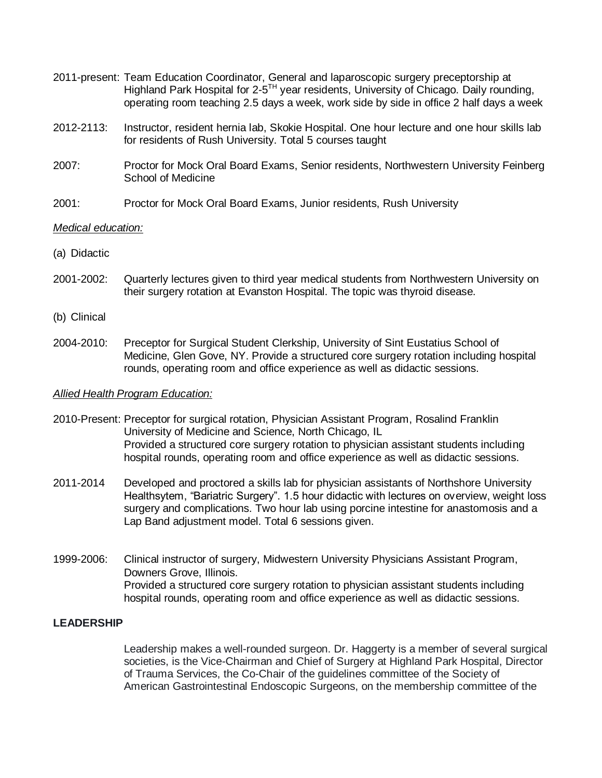- 2011-present: Team Education Coordinator, General and laparoscopic surgery preceptorship at Highland Park Hospital for 2-5<sup>TH</sup> year residents, University of Chicago. Daily rounding, operating room teaching 2.5 days a week, work side by side in office 2 half days a week
- 2012-2113: Instructor, resident hernia lab, Skokie Hospital. One hour lecture and one hour skills lab for residents of Rush University. Total 5 courses taught
- 2007: Proctor for Mock Oral Board Exams, Senior residents, Northwestern University Feinberg School of Medicine
- 2001: Proctor for Mock Oral Board Exams, Junior residents, Rush University

#### *Medical education:*

- (a) Didactic
- 2001-2002: Quarterly lectures given to third year medical students from Northwestern University on their surgery rotation at Evanston Hospital. The topic was thyroid disease.
- (b) Clinical
- 2004-2010: Preceptor for Surgical Student Clerkship, University of Sint Eustatius School of Medicine, Glen Gove, NY. Provide a structured core surgery rotation including hospital rounds, operating room and office experience as well as didactic sessions.

#### *Allied Health Program Education:*

- 2010-Present: Preceptor for surgical rotation, Physician Assistant Program, Rosalind Franklin University of Medicine and Science, North Chicago, IL Provided a structured core surgery rotation to physician assistant students including hospital rounds, operating room and office experience as well as didactic sessions.
- 2011-2014 Developed and proctored a skills lab for physician assistants of Northshore University Healthsytem, "Bariatric Surgery". 1.5 hour didactic with lectures on overview, weight loss surgery and complications. Two hour lab using porcine intestine for anastomosis and a Lap Band adjustment model. Total 6 sessions given.
- 1999-2006: Clinical instructor of surgery, Midwestern University Physicians Assistant Program, Downers Grove, Illinois. Provided a structured core surgery rotation to physician assistant students including hospital rounds, operating room and office experience as well as didactic sessions.

#### **LEADERSHIP**

Leadership makes a well-rounded surgeon. Dr. Haggerty is a member of several surgical societies, is the Vice-Chairman and Chief of Surgery at Highland Park Hospital, Director of Trauma Services, the Co-Chair of the guidelines committee of the Society of American Gastrointestinal Endoscopic Surgeons, on the membership committee of the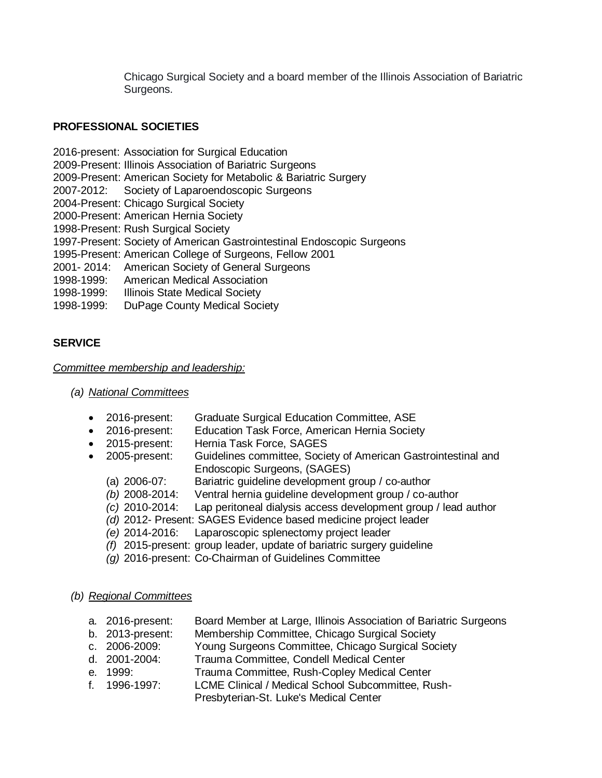Chicago Surgical Society and a board member of the Illinois Association of Bariatric Surgeons.

### **PROFESSIONAL SOCIETIES**

- 2016-present: Association for Surgical Education
- 2009-Present: Illinois Association of Bariatric Surgeons
- 2009-Present: American Society for Metabolic & Bariatric Surgery
- 2007-2012: Society of Laparoendoscopic Surgeons
- 2004-Present: Chicago Surgical Society
- 2000-Present: American Hernia Society
- 1998-Present: Rush Surgical Society
- 1997-Present: Society of American Gastrointestinal Endoscopic Surgeons
- 1995-Present: American College of Surgeons, Fellow 2001
- 2001- 2014: American Society of General Surgeons
- 1998-1999: American Medical Association
- 1998-1999: Illinois State Medical Society
- 1998-1999: DuPage County Medical Society

# **SERVICE**

## *Committee membership and leadership:*

### *(a) National Committees*

- 2016-present: Graduate Surgical Education Committee, ASE
- 2016-present: Education Task Force, American Hernia Society
- 2015-present: Hernia Task Force, SAGES
- 2005-present: Guidelines committee, Society of American Gastrointestinal and Endoscopic Surgeons, (SAGES)
	- (a) 2006-07: Bariatric guideline development group / co-author
	- *(b)* 2008-2014: Ventral hernia guideline development group / co-author
	- *(c)* 2010-2014: Lap peritoneal dialysis access development group / lead author
	- *(d)* 2012- Present: SAGES Evidence based medicine project leader
	- *(e)* 2014-2016: Laparoscopic splenectomy project leader
	- *(f)* 2015-present: group leader, update of bariatric surgery guideline
	- *(g)* 2016-present: Co-Chairman of Guidelines Committee

#### *(b) Regional Committees*

- a. 2016-present: Board Member at Large, Illinois Association of Bariatric Surgeons
- b. 2013-present: Membership Committee, Chicago Surgical Society
- c. 2006-2009: Young Surgeons Committee, Chicago Surgical Society
- d. 2001-2004: Trauma Committee, Condell Medical Center
- e. 1999: Trauma Committee, Rush-Copley Medical Center
- f. 1996-1997: LCME Clinical / Medical School Subcommittee, Rush-
	- Presbyterian-St. Luke's Medical Center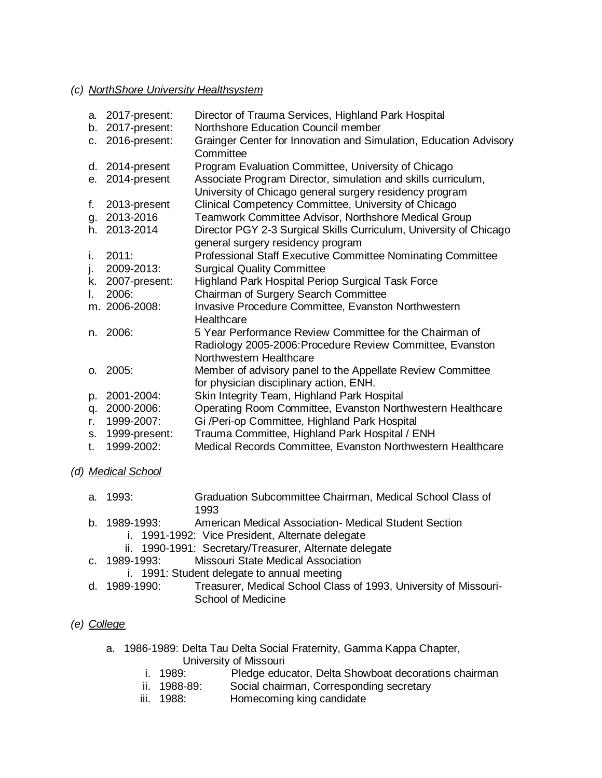#### *(c) NorthShore University Healthsystem*

|              | a. 2017-present: | Director of Trauma Services, Highland Park Hospital                                                                      |
|--------------|------------------|--------------------------------------------------------------------------------------------------------------------------|
|              | b. 2017-present: | Northshore Education Council member                                                                                      |
|              | c. 2016-present: | Grainger Center for Innovation and Simulation, Education Advisory<br>Committee                                           |
|              | d. 2014-present  | Program Evaluation Committee, University of Chicago                                                                      |
|              | e. 2014-present  | Associate Program Director, simulation and skills curriculum,<br>University of Chicago general surgery residency program |
| f.           | 2013-present     | Clinical Competency Committee, University of Chicago                                                                     |
| g.           | 2013-2016        | Teamwork Committee Advisor, Northshore Medical Group                                                                     |
|              | h. 2013-2014     | Director PGY 2-3 Surgical Skills Curriculum, University of Chicago<br>general surgery residency program                  |
| i.           | 2011:            | <b>Professional Staff Executive Committee Nominating Committee</b>                                                       |
| j.           | 2009-2013:       | <b>Surgical Quality Committee</b>                                                                                        |
| k.           | 2007-present:    | <b>Highland Park Hospital Periop Surgical Task Force</b>                                                                 |
| $\mathbf{L}$ | 2006:            | Chairman of Surgery Search Committee                                                                                     |
|              | m. 2006-2008:    | Invasive Procedure Committee, Evanston Northwestern<br>Healthcare                                                        |
| n.           | 2006:            | 5 Year Performance Review Committee for the Chairman of                                                                  |
|              |                  | Radiology 2005-2006: Procedure Review Committee, Evanston<br>Northwestern Healthcare                                     |
|              | 0.2005           | Member of advisory panel to the Appellate Review Committee<br>for physician disciplinary action, ENH.                    |
| p.           | 2001-2004:       | Skin Integrity Team, Highland Park Hospital                                                                              |
| q.           | 2000-2006:       | Operating Room Committee, Evanston Northwestern Healthcare                                                               |
| r.           | 1999-2007:       | Gi /Peri-op Committee, Highland Park Hospital                                                                            |
| S.           | 1999-present:    | Trauma Committee, Highland Park Hospital / ENH                                                                           |
| t.           | 1999-2002:       | Medical Records Committee, Evanston Northwestern Healthcare                                                              |

*(d) Medical School*

| a. 1993: | Graduation Subcommittee Chairman, Medical School Class of |
|----------|-----------------------------------------------------------|
|          | 1993                                                      |

### b. 1989-1993: American Medical Association- Medical Student Section

- i. 1991-1992: Vice President, Alternate delegate
- ii. 1990-1991: Secretary/Treasurer, Alternate delegate
- c. 1989-1993: Missouri State Medical Association
	- i. 1991: Student delegate to annual meeting
- d. 1989-1990: Treasurer, Medical School Class of 1993, University of Missouri-School of Medicine

# *(e) College*

- a. 1986-1989: Delta Tau Delta Social Fraternity, Gamma Kappa Chapter,
	- University of Missouri<br>i. 1989: Pledae educ Pledge educator, Delta Showboat decorations chairman
	- ii. 1988-89: Social chairman, Corresponding secretary
	- iii. 1988: Homecoming king candidate